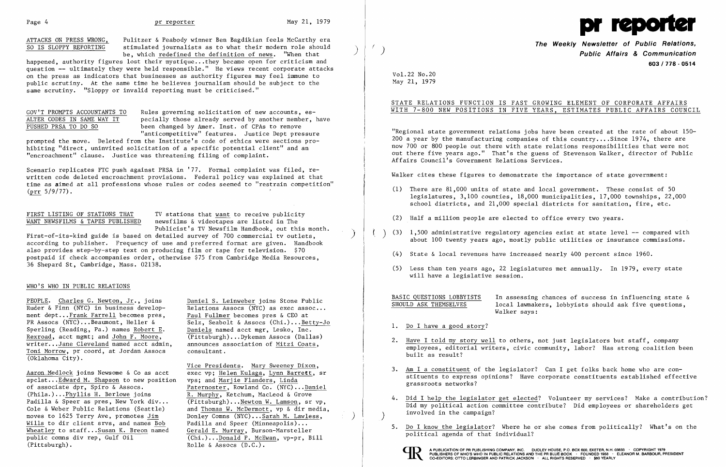ATTACKS ON PRESS WRONG, Pulitzer & Peabody winner Ben Bagdikian feels McCarthy era<br>SO IS SLOPPY REPORTING stimulated journalists as to what their modern role should stimulated journalists as to what their modern role should be, which redefined the definition of news. "When that



happened, authority figures lost their mystique... they became open for criticism and question -- ultimately they were held responsible." He views recent corporate attacks on the press as indicators that businesses as authority figures may feel immune to public scrutiny. At the same time he believes journalism should be subject to the same scrutiny. "Sloppy or invalid reporting must be criticised."

GOV'T PROMPTS ACCOUNTANTS TO Rules governing solicitation of new accounts, es-<br>ALTER CODES IN SAME WAY IT pecially those already served by another member, 1 pecially those already served by another member, have PUSHED PRSA TO DO SO been changed by Amer. Inst. of CPAs to remove "anticompetitive" features. Justice Dept pressure

Scenario replicates FTC push against PRSA in '77. Formal complaint was filed, rewritten code deleted encroachment provisions. Federal policy was explained at that time as aimed at all professions whose rules or codes seemed to "restrain competition"  $(prr 5/9/77)$ .

FIRST LISTING OF STATIONS THAT TV stations that want to receive publicity<br>WANT NEWSFILMS & TAPES PUBLISHED newsfilms & videotapes are listed in The newsfilms & videotapes are listed in The Publicist's TV Newsfi1m Handbook, out this month.

prompted the move. Deleted from the Institute's code of ethics were sections prohibiting "direct, uninvited solicitation of a specific potential client" and an "encroachment" clause. Justice was threatening filing of complaint.

PEOPLE. Charles G. Newton, Jr., joins Daniel S. Leinweber joins Stone Public<br>Ruder & Finn (NYC) in business develop-<br>Relations Assocs (NYC) as exec assoc... ment dept... Frank Farrell becomes pres,<br>PR Assocs (NYC)... Beaumont, Heller & Sperling (Reading, Pa.) names Robert E. Rexroad, acct mgmt; and John F. Moore, (Pittsburgh)...Dykeman Assocs (Dallas)<br>writer...Jane Cleveland named acct admin. announces association of Mitzi Coats. writer...Jane Cleveland named acct admin, announces as<br>Toni Morrow, pr coord, at Jordan Assocs consultant. Toni Morrow, pr coord, at Jordan Assocs (Oklahoma City).

Aaron Medlock joins Newsome & Co as acct exec vp; Helen Kulaga, Lynn Barr<br>spclst... Edward M. Shapson to new position vps; and Marjie Flanders, Linda  $spc1st...$  Edward M. Shapson to new position of associate dpr, Spiro & Assocs. of associate dpr, Spiro & Assocs.<br>(Phila.)...Phyllis H. Berlowe joins R. Murphy, Ketchum, MacLeod & Grove Padilla & Speer as pres, New York div...<br>Cole & Weber Public Relations (Seattle) moves to 1625 Terry Ave, promotes <u>Jim</u> Donley Comns (NYC)...<u>Sarah M. Lawless</u>,<br>Wills to dir client srvs, and names Bob Padilla and Speer (Minneapolis)... Wills to dir client srvs, and names <u>Bob</u> Padilla and Speer (Minneapolis)...<br>Wheatley to staff...Susan K. Breon named Gerald E. Murray, Burson-Marsteller Wheatley to staff... Susan K. Breon named public comms div rep, Gulf Oil public comns div rep, Gulf Oil  $\overline{(Chi.)...$ Donald P. McEwan, vp-pr, Bill (Pittsburgh).<br>(Pittsburgh).

Relations Assocs (NYC) as exec assoc...<br>Paul Fullmer becomes pres  $\&$  CEO at Selz, Seabolt & Assocs (Chi.)... Betty-Jo<br>Daniels named acct mgr. Lesko. Inc.

Vice Presidents. Mary Sweeney Dixon,<br>exec vp: Helen Kulaga, Lynn Barrett, sr  $R.$  Murphy, Ketchum, MacLeod & Grove<br>(Pittsburgh)...Newton W. Lamson, sr vp, and Thomas W. McDermott, vp & dir media, Rolle & Assocs  $(D.C.)$ .

First-of-its-kind guide is based on detailed survey of 700 commercial tv outlets, ) according to publisher. Frequency of use and preferred format are given. Handbook also provides step-by-step text on producing film or tape for television. \$70 postpaid if check accompanies order, otherwise \$75 from Cambridge Media Resources, 36 Shepard St, Cambridge, Mass. 02138.

# WHO'S WHO IN PUBLIC RELATIONS

 $($   $)$   $(3)$   $1,500$  administrative regulatory agencies exist at state level -- compared with about 100 twenty years ago, mostly public utilities or insurance commissions.

BASIC QUESTIONS LOBBYISTS In assessing chances of success in influencing state &<br>SHOULD ASK THEMSELVES 10cal lawmakers, lobbyists should ask five questions, local lawmakers, lobbyists should ask five questions,

- (1) There are 81,000 units of state and local government. These consist of 50 legislatures, 3,100 counties, 18,000 municipalities, 17,000 townships, 22,000 school districts, and 21,000 special districts for sanitation, fire, etc.
- (2) Half a million people are elected to office every two years.
- - $(4)$  State & local revenues have increased nearly 400 percent since 1960.
	- (5) Less than ten years ago, 22 legislatures met annually. In 1979, every state will have a legislative session.

4. Did I help the legislator get elected? Volunteer my services? Make a contribution? Did my political action committee contribute? Did employees or shareholders get

# **The Weekly Newsletter of Public Relations,** ( ) **Public Affairs & Communication 603/778·0514**

Vo1.22 No.20 May 21, 1979

# STATE RELATIONS FUNCTION IS FAST GROWING ELEMENT OF CORPORATE AFFAIRS WITH 7-800 NEW POSITIONS IN FIVE YEARS, ESTIMATES PUBLIC AFFAIRS COUNCIL

"Regional state government relations jobs have been created at the rate of about 150 200 a year by the manufacturing companies of this country....Since  $1974$ , there are now 700 or 800 people out there with state relations responsibilities that were not out there five years ago." That's the guess of Stevenson Walker, director of Public Affairs Council's Government Relations Services.

Walker cites these figures to demonstrate the importance of state government:

Walker says:

employees, editorial writers, civic community, labor? Has strong coalition been

stituents to express opinions? Have corporate constituents established effective

- 1. Do I have a good story?
- 2. Have I told my story well to others, not just legislators but staff, company built as result?
- 3. Am I a constituent of the legislator? Can I get folks back home who are congrassroots networks?
- ) involved in the campaign?
- political agenda of that individual?



A PUBLICATION OF PR PUBLISHING COMPANY, INC. DUDLEY HOUSE, P.O. BOX 600, EXETER, N.H. 0<br>PUBLISHERS OF WHO'S WHO IN PUBLIC RELATIONS AND THE PR BLUE BOOK · FOUNDED 1958 ·<br>CO-EDITORS: OTTO LERBINGER AND PATRICK JACKSON · ALL

5. Do I know the legislator? Where he or she comes from politically? What's on the